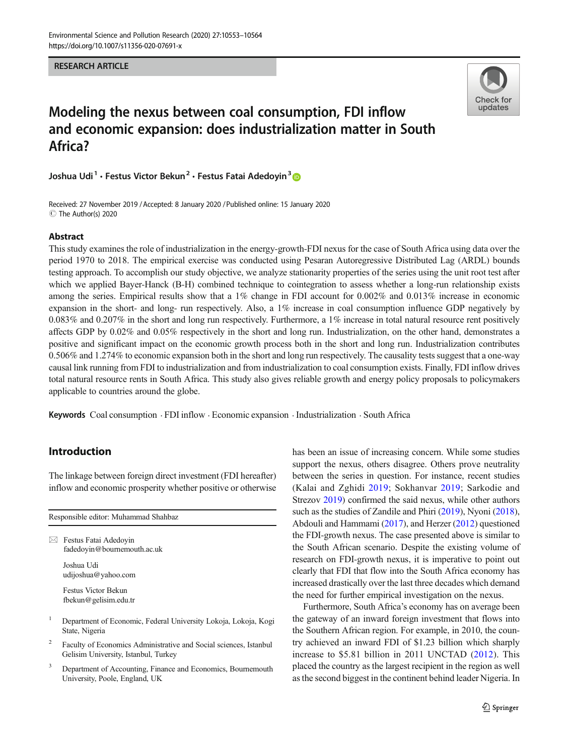#### RESEARCH ARTICLE



# Modeling the nexus between coal consumption, FDI inflow and economic expansion: does industrialization matter in South Africa?

Joshua Udi<sup>1</sup> · Festus Victor Bekun<sup>2</sup> · Festus Fatai Adedoyin<sup>3</sup>

Received: 27 November 2019 /Accepted: 8 January 2020 /Published online: 15 January 2020  $\circledcirc$  The Author(s) 2020

#### Abstract

This study examines the role of industrialization in the energy-growth-FDI nexus for the case of South Africa using data over the period 1970 to 2018. The empirical exercise was conducted using Pesaran Autoregressive Distributed Lag (ARDL) bounds testing approach. To accomplish our study objective, we analyze stationarity properties of the series using the unit root test after which we applied Bayer-Hanck (B-H) combined technique to cointegration to assess whether a long-run relationship exists among the series. Empirical results show that a 1% change in FDI account for 0.002% and 0.013% increase in economic expansion in the short- and long- run respectively. Also, a 1% increase in coal consumption influence GDP negatively by 0.083% and 0.207% in the short and long run respectively. Furthermore, a 1% increase in total natural resource rent positively affects GDP by 0.02% and 0.05% respectively in the short and long run. Industrialization, on the other hand, demonstrates a positive and significant impact on the economic growth process both in the short and long run. Industrialization contributes 0.506% and 1.274% to economic expansion both in the short and long run respectively. The causality tests suggest that a one-way causal link running from FDI to industrialization and from industrialization to coal consumption exists. Finally, FDI inflow drives total natural resource rents in South Africa. This study also gives reliable growth and energy policy proposals to policymakers applicable to countries around the globe.

Keywords Coal consumption . FDI inflow . Economic expansion . Industrialization . South Africa

## Introduction

The linkage between foreign direct investment (FDI hereafter) inflow and economic prosperity whether positive or otherwise

| Responsible editor: Muhammad Shahbaz |                                                                                                           |  |  |
|--------------------------------------|-----------------------------------------------------------------------------------------------------------|--|--|
|                                      | Festus Fatai Adedovin<br>fadedoyin@bournemouth.ac.uk                                                      |  |  |
|                                      | Joshua Udi<br>udijoshua@yahoo.com                                                                         |  |  |
|                                      | Festus Victor Bekun<br>fbekun@gelisim.edu.tr                                                              |  |  |
| 1                                    | Department of Economic, Federal University Lokoja, Lokoja, Kogi<br>State, Nigeria                         |  |  |
| 2                                    | Faculty of Economics Administrative and Social sciences, Istanbul<br>Gelisim University, Istanbul, Turkey |  |  |

Department of Accounting, Finance and Economics, Bournemouth University, Poole, England, UK

has been an issue of increasing concern. While some studies support the nexus, others disagree. Others prove neutrality between the series in question. For instance, recent studies (Kalai and Zghidi [2019;](#page-10-0) Sokhanvar [2019](#page-11-0); Sarkodie and Strezov [2019](#page-10-0)) confirmed the said nexus, while other authors such as the studies of Zandile and Phiri [\(2019\)](#page-11-0), Nyoni [\(2018\)](#page-10-0), Abdouli and Hammami ([2017](#page-9-0)), and Herzer [\(2012\)](#page-10-0) questioned the FDI-growth nexus. The case presented above is similar to the South African scenario. Despite the existing volume of research on FDI-growth nexus, it is imperative to point out clearly that FDI that flow into the South Africa economy has increased drastically over the last three decades which demand the need for further empirical investigation on the nexus.

Furthermore, South Africa's economy has on average been the gateway of an inward foreign investment that flows into the Southern African region. For example, in 2010, the country achieved an inward FDI of \$1.23 billion which sharply increase to \$5.81 billion in 2011 UNCTAD [\(2012\)](#page-11-0). This placed the country as the largest recipient in the region as well as the second biggest in the continent behind leader Nigeria. In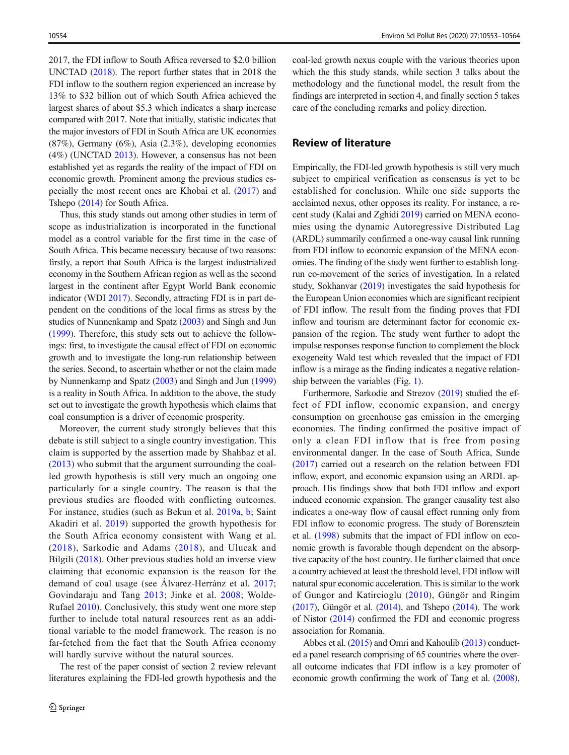2017, the FDI inflow to South Africa reversed to \$2.0 billion UNCTAD ([2018](#page-11-0)). The report further states that in 2018 the FDI inflow to the southern region experienced an increase by 13% to \$32 billion out of which South Africa achieved the largest shares of about \$5.3 which indicates a sharp increase compared with 2017. Note that initially, statistic indicates that the major investors of FDI in South Africa are UK economies (87%), Germany (6%), Asia (2.3%), developing economies (4%) (UNCTAD [2013](#page-11-0)). However, a consensus has not been established yet as regards the reality of the impact of FDI on economic growth. Prominent among the previous studies especially the most recent ones are Khobai et al. [\(2017\)](#page-10-0) and Tshepo ([2014](#page-11-0)) for South Africa.

Thus, this study stands out among other studies in term of scope as industrialization is incorporated in the functional model as a control variable for the first time in the case of South Africa. This became necessary because of two reasons: firstly, a report that South Africa is the largest industrialized economy in the Southern African region as well as the second largest in the continent after Egypt World Bank economic indicator (WDI [2017\)](#page-11-0). Secondly, attracting FDI is in part dependent on the conditions of the local firms as stress by the studies of Nunnenkamp and Spatz ([2003](#page-10-0)) and Singh and Jun [\(1999\)](#page-10-0). Therefore, this study sets out to achieve the followings: first, to investigate the causal effect of FDI on economic growth and to investigate the long-run relationship between the series. Second, to ascertain whether or not the claim made by Nunnenkamp and Spatz ([2003](#page-10-0)) and Singh and Jun [\(1999\)](#page-10-0) is a reality in South Africa. In addition to the above, the study set out to investigate the growth hypothesis which claims that coal consumption is a driver of economic prosperity.

Moreover, the current study strongly believes that this debate is still subject to a single country investigation. This claim is supported by the assertion made by Shahbaz et al. [\(2013\)](#page-10-0) who submit that the argument surrounding the coalled growth hypothesis is still very much an ongoing one particularly for a single country. The reason is that the previous studies are flooded with conflicting outcomes. For instance, studies (such as Bekun et al. [2019a,](#page-9-0) [b;](#page-9-0) Saint Akadiri et al. [2019\)](#page-10-0) supported the growth hypothesis for the South Africa economy consistent with Wang et al. ([2018](#page-11-0)), Sarkodie and Adams ([2018](#page-10-0)), and Ulucak and Bilgili ([2018](#page-11-0)). Other previous studies hold an inverse view claiming that economic expansion is the reason for the demand of coal usage (see Álvarez-Herránz et al. [2017](#page-9-0); Govindaraju and Tang [2013;](#page-10-0) Jinke et al. [2008](#page-10-0); Wolde-Rufael [2010\)](#page-11-0). Conclusively, this study went one more step further to include total natural resources rent as an additional variable to the model framework. The reason is no far-fetched from the fact that the South Africa economy will hardly survive without the natural sources.

The rest of the paper consist of section 2 review relevant literatures explaining the FDI-led growth hypothesis and the coal-led growth nexus couple with the various theories upon which the this study stands, while section 3 talks about the methodology and the functional model, the result from the findings are interpreted in section 4, and finally section 5 takes care of the concluding remarks and policy direction.

## Review of literature

Empirically, the FDI-led growth hypothesis is still very much subject to empirical verification as consensus is yet to be established for conclusion. While one side supports the acclaimed nexus, other opposes its reality. For instance, a recent study (Kalai and Zghidi [2019](#page-10-0)) carried on MENA economies using the dynamic Autoregressive Distributed Lag (ARDL) summarily confirmed a one-way causal link running from FDI inflow to economic expansion of the MENA economies. The finding of the study went further to establish longrun co-movement of the series of investigation. In a related study, Sokhanvar [\(2019\)](#page-11-0) investigates the said hypothesis for the European Union economies which are significant recipient of FDI inflow. The result from the finding proves that FDI inflow and tourism are determinant factor for economic expansion of the region. The study went further to adopt the impulse responses response function to complement the block exogeneity Wald test which revealed that the impact of FDI inflow is a mirage as the finding indicates a negative relationship between the variables (Fig. [1\)](#page-2-0).

Furthermore, Sarkodie and Strezov ([2019](#page-10-0)) studied the effect of FDI inflow, economic expansion, and energy consumption on greenhouse gas emission in the emerging economies. The finding confirmed the positive impact of only a clean FDI inflow that is free from posing environmental danger. In the case of South Africa, Sunde [\(2017](#page-11-0)) carried out a research on the relation between FDI inflow, export, and economic expansion using an ARDL approach. His findings show that both FDI inflow and export induced economic expansion. The granger causality test also indicates a one-way flow of causal effect running only from FDI inflow to economic progress. The study of Borensztein et al. [\(1998\)](#page-9-0) submits that the impact of FDI inflow on economic growth is favorable though dependent on the absorptive capacity of the host country. He further claimed that once a country achieved at least the threshold level, FDI inflow will natural spur economic acceleration. This is similar to the work of Gungor and Katircioglu ([2010\)](#page-10-0), Güngör and Ringim [\(2017\)](#page-10-0), Güngör et al. ([2014](#page-10-0)), and Tshepo [\(2014\)](#page-11-0). The work of Nistor [\(2014](#page-10-0)) confirmed the FDI and economic progress association for Romania.

Abbes et al. [\(2015](#page-9-0)) and Omri and Kahoulib [\(2013\)](#page-10-0) conducted a panel research comprising of 65 countries where the overall outcome indicates that FDI inflow is a key promoter of economic growth confirming the work of Tang et al. [\(2008\)](#page-11-0),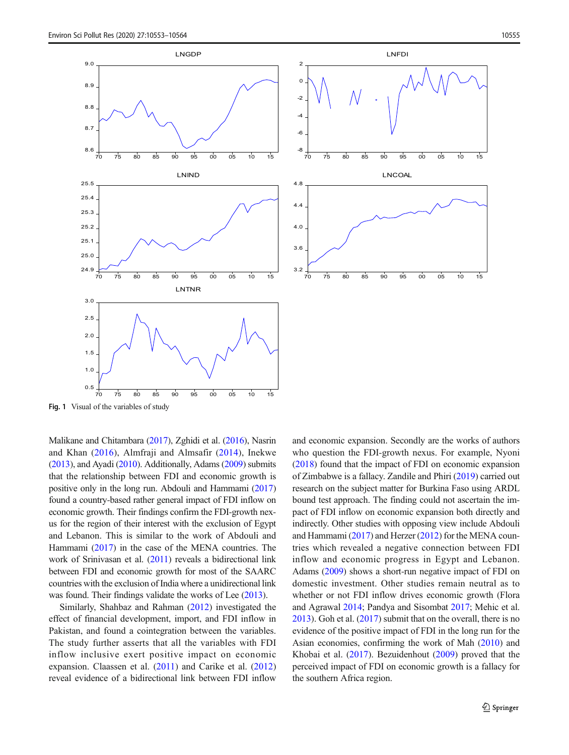<span id="page-2-0"></span>

Malikane and Chitambara [\(2017\)](#page-10-0), Zghidi et al. [\(2016\)](#page-11-0), Nasrin and Khan ([2016](#page-10-0)), Almfraji and Almsafir [\(2014\)](#page-9-0), Inekwe [\(2013](#page-10-0)), and Ayadi [\(2010\)](#page-9-0). Additionally, Adams [\(2009](#page-9-0)) submits that the relationship between FDI and economic growth is positive only in the long run. Abdouli and Hammami ([2017\)](#page-9-0) found a country-based rather general impact of FDI inflow on economic growth. Their findings confirm the FDI-growth nexus for the region of their interest with the exclusion of Egypt and Lebanon. This is similar to the work of Abdouli and Hammami [\(2017](#page-9-0)) in the case of the MENA countries. The work of Srinivasan et al. [\(2011](#page-11-0)) reveals a bidirectional link between FDI and economic growth for most of the SAARC countries with the exclusion of India where a unidirectional link was found. Their findings validate the works of Lee  $(2013)$  $(2013)$ .

Similarly, Shahbaz and Rahman [\(2012](#page-10-0)) investigated the effect of financial development, import, and FDI inflow in Pakistan, and found a cointegration between the variables. The study further asserts that all the variables with FDI inflow inclusive exert positive impact on economic expansion. Claassen et al. ([2011](#page-10-0)) and Carike et al. ([2012\)](#page-10-0) reveal evidence of a bidirectional link between FDI inflow and economic expansion. Secondly are the works of authors who question the FDI-growth nexus. For example, Nyoni [\(2018\)](#page-10-0) found that the impact of FDI on economic expansion of Zimbabwe is a fallacy. Zandile and Phiri ([2019](#page-11-0)) carried out research on the subject matter for Burkina Faso using ARDL bound test approach. The finding could not ascertain the impact of FDI inflow on economic expansion both directly and indirectly. Other studies with opposing view include Abdouli and Hammami [\(2017\)](#page-9-0) and Herzer [\(2012](#page-10-0)) for the MENA countries which revealed a negative connection between FDI inflow and economic progress in Egypt and Lebanon. Adams [\(2009\)](#page-9-0) shows a short-run negative impact of FDI on domestic investment. Other studies remain neutral as to whether or not FDI inflow drives economic growth (Flora and Agrawal [2014;](#page-10-0) Pandya and Sisombat [2017;](#page-10-0) Mehic et al. [2013\)](#page-10-0). Goh et al. ([2017](#page-10-0)) submit that on the overall, there is no evidence of the positive impact of FDI in the long run for the Asian economies, confirming the work of Mah [\(2010](#page-10-0)) and Khobai et al. ([2017\)](#page-10-0). Bezuidenhout [\(2009](#page-9-0)) proved that the perceived impact of FDI on economic growth is a fallacy for the southern Africa region.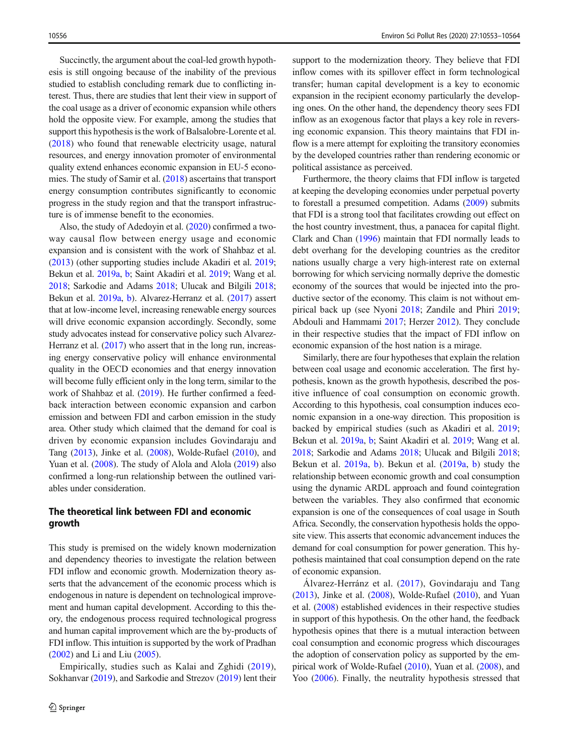Succinctly, the argument about the coal-led growth hypothesis is still ongoing because of the inability of the previous studied to establish concluding remark due to conflicting interest. Thus, there are studies that lent their view in support of the coal usage as a driver of economic expansion while others hold the opposite view. For example, among the studies that support this hypothesis is the work of Balsalobre-Lorente et al. [\(2018](#page-9-0)) who found that renewable electricity usage, natural resources, and energy innovation promoter of environmental quality extend enhances economic expansion in EU-5 economies. The study of Samir et al. [\(2018\)](#page-10-0) ascertains that transport energy consumption contributes significantly to economic progress in the study region and that the transport infrastructure is of immense benefit to the economies.

Also, the study of Adedoyin et al. ([2020](#page-9-0)) confirmed a twoway causal flow between energy usage and economic expansion and is consistent with the work of Shahbaz et al. [\(2013\)](#page-10-0) (other supporting studies include Akadiri et al. [2019](#page-9-0); Bekun et al. [2019a,](#page-9-0) [b;](#page-9-0) Saint Akadiri et al. [2019;](#page-10-0) Wang et al. [2018;](#page-11-0) Sarkodie and Adams [2018](#page-10-0); Ulucak and Bilgili [2018](#page-11-0); Bekun et al. [2019a,](#page-9-0) [b\)](#page-9-0). Alvarez-Herranz et al. [\(2017\)](#page-9-0) assert that at low-income level, increasing renewable energy sources will drive economic expansion accordingly. Secondly, some study advocates instead for conservative policy such Alvarez-Herranz et al. [\(2017](#page-9-0)) who assert that in the long run, increasing energy conservative policy will enhance environmental quality in the OECD economies and that energy innovation will become fully efficient only in the long term, similar to the work of Shahbaz et al. [\(2019\)](#page-10-0). He further confirmed a feedback interaction between economic expansion and carbon emission and between FDI and carbon emission in the study area. Other study which claimed that the demand for coal is driven by economic expansion includes Govindaraju and Tang [\(2013\)](#page-10-0), Jinke et al. ([2008](#page-10-0)), Wolde-Rufael [\(2010\)](#page-11-0), and Yuan et al. ([2008](#page-11-0)). The study of Alola and Alola [\(2019\)](#page-9-0) also confirmed a long-run relationship between the outlined variables under consideration.

## The theoretical link between FDI and economic growth

This study is premised on the widely known modernization and dependency theories to investigate the relation between FDI inflow and economic growth. Modernization theory asserts that the advancement of the economic process which is endogenous in nature is dependent on technological improvement and human capital development. According to this theory, the endogenous process required technological progress and human capital improvement which are the by-products of FDI inflow. This intuition is supported by the work of Pradhan  $(2002)$  and Li and Liu  $(2005)$  $(2005)$ .

Empirically, studies such as Kalai and Zghidi ([2019](#page-10-0)), Sokhanvar [\(2019\)](#page-11-0), and Sarkodie and Strezov ([2019](#page-10-0)) lent their support to the modernization theory. They believe that FDI inflow comes with its spillover effect in form technological transfer; human capital development is a key to economic expansion in the recipient economy particularly the developing ones. On the other hand, the dependency theory sees FDI inflow as an exogenous factor that plays a key role in reversing economic expansion. This theory maintains that FDI inflow is a mere attempt for exploiting the transitory economies by the developed countries rather than rendering economic or political assistance as perceived.

Furthermore, the theory claims that FDI inflow is targeted at keeping the developing economies under perpetual poverty to forestall a presumed competition. Adams ([2009](#page-9-0)) submits that FDI is a strong tool that facilitates crowding out effect on the host country investment, thus, a panacea for capital flight. Clark and Chan [\(1996](#page-10-0)) maintain that FDI normally leads to debt overhang for the developing countries as the creditor nations usually charge a very high-interest rate on external borrowing for which servicing normally deprive the domestic economy of the sources that would be injected into the productive sector of the economy. This claim is not without empirical back up (see Nyoni [2018;](#page-10-0) Zandile and Phiri [2019;](#page-11-0) Abdouli and Hammami [2017](#page-9-0); Herzer [2012](#page-10-0)). They conclude in their respective studies that the impact of FDI inflow on economic expansion of the host nation is a mirage.

Similarly, there are four hypotheses that explain the relation between coal usage and economic acceleration. The first hypothesis, known as the growth hypothesis, described the positive influence of coal consumption on economic growth. According to this hypothesis, coal consumption induces economic expansion in a one-way direction. This proposition is backed by empirical studies (such as Akadiri et al. [2019;](#page-9-0) Bekun et al. [2019a,](#page-9-0) [b](#page-9-0); Saint Akadiri et al. [2019;](#page-10-0) Wang et al. [2018;](#page-11-0) Sarkodie and Adams [2018](#page-10-0); Ulucak and Bilgili [2018;](#page-11-0) Bekun et al. [2019a](#page-9-0), [b](#page-9-0)). Bekun et al. ([2019a](#page-9-0), [b\)](#page-9-0) study the relationship between economic growth and coal consumption using the dynamic ARDL approach and found cointegration between the variables. They also confirmed that economic expansion is one of the consequences of coal usage in South Africa. Secondly, the conservation hypothesis holds the opposite view. This asserts that economic advancement induces the demand for coal consumption for power generation. This hypothesis maintained that coal consumption depend on the rate of economic expansion.

Álvarez-Herránz et al. ([2017\)](#page-9-0), Govindaraju and Tang [\(2013\)](#page-10-0), Jinke et al. [\(2008\)](#page-10-0), Wolde-Rufael ([2010](#page-11-0)), and Yuan et al. ([2008](#page-11-0)) established evidences in their respective studies in support of this hypothesis. On the other hand, the feedback hypothesis opines that there is a mutual interaction between coal consumption and economic progress which discourages the adoption of conservation policy as supported by the empirical work of Wolde-Rufael ([2010](#page-11-0)), Yuan et al. [\(2008\)](#page-11-0), and Yoo [\(2006](#page-11-0)). Finally, the neutrality hypothesis stressed that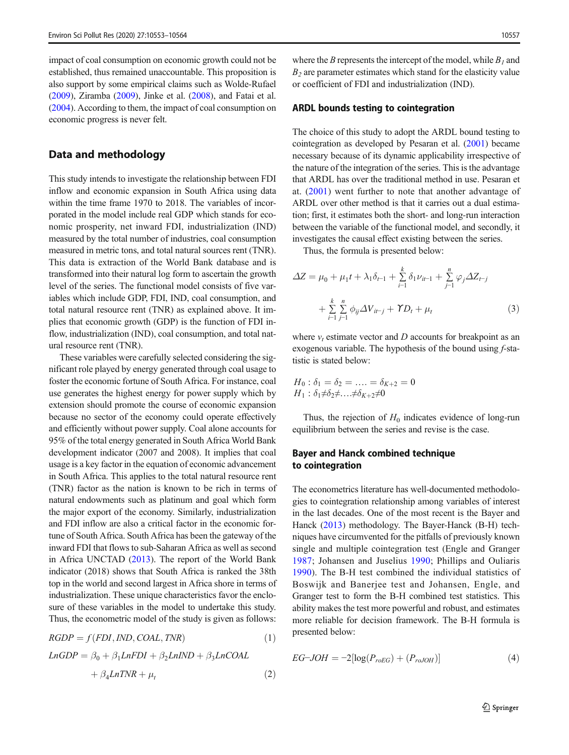impact of coal consumption on economic growth could not be established, thus remained unaccountable. This proposition is also support by some empirical claims such as Wolde-Rufael [\(2009\)](#page-11-0), Ziramba [\(2009\)](#page-11-0), Jinke et al. ([2008](#page-10-0)), and Fatai et al. [\(2004\)](#page-10-0). According to them, the impact of coal consumption on economic progress is never felt.

#### Data and methodology

This study intends to investigate the relationship between FDI inflow and economic expansion in South Africa using data within the time frame 1970 to 2018. The variables of incorporated in the model include real GDP which stands for economic prosperity, net inward FDI, industrialization (IND) measured by the total number of industries, coal consumption measured in metric tons, and total natural sources rent (TNR). This data is extraction of the World Bank database and is transformed into their natural log form to ascertain the growth level of the series. The functional model consists of five variables which include GDP, FDI, IND, coal consumption, and total natural resource rent (TNR) as explained above. It implies that economic growth (GDP) is the function of FDI inflow, industrialization (IND), coal consumption, and total natural resource rent (TNR).

These variables were carefully selected considering the significant role played by energy generated through coal usage to foster the economic fortune of South Africa. For instance, coal use generates the highest energy for power supply which by extension should promote the course of economic expansion because no sector of the economy could operate effectively and efficiently without power supply. Coal alone accounts for 95% of the total energy generated in South Africa World Bank development indicator (2007 and 2008). It implies that coal usage is a key factor in the equation of economic advancement in South Africa. This applies to the total natural resource rent (TNR) factor as the nation is known to be rich in terms of natural endowments such as platinum and goal which form the major export of the economy. Similarly, industrialization and FDI inflow are also a critical factor in the economic fortune of South Africa. South Africa has been the gateway of the inward FDI that flows to sub-Saharan Africa as well as second in Africa UNCTAD [\(2013\)](#page-11-0). The report of the World Bank indicator (2018) shows that South Africa is ranked the 38th top in the world and second largest in Africa shore in terms of industrialization. These unique characteristics favor the enclosure of these variables in the model to undertake this study. Thus, the econometric model of the study is given as follows:

$$
RGDP = f(FDI, IND, COAL, TNR)
$$
\n(1)

$$
LnGDP = \beta_0 + \beta_1 LnFDI + \beta_2 LnIND + \beta_3 LnCOAL
$$

$$
+ \beta_4 LnTNR + \mu_t
$$
 (2)

where the B represents the intercept of the model, while  $B_1$  and  $B<sub>2</sub>$  are parameter estimates which stand for the elasticity value or coefficient of FDI and industrialization (IND).

#### ARDL bounds testing to cointegration

The choice of this study to adopt the ARDL bound testing to cointegration as developed by Pesaran et al. [\(2001\)](#page-10-0) became necessary because of its dynamic applicability irrespective of the nature of the integration of the series. This is the advantage that ARDL has over the traditional method in use. Pesaran et at. [\(2001](#page-10-0)) went further to note that another advantage of ARDL over other method is that it carries out a dual estimation; first, it estimates both the short- and long-run interaction between the variable of the functional model, and secondly, it investigates the causal effect existing between the series.

Thus, the formula is presented below:

$$
\Delta Z = \mu_0 + \mu_1 t + \lambda_1 \delta_{t-1} + \sum_{i=1}^k \delta_1 \nu_{it-1} + \sum_{j=1}^n \varphi_j \Delta Z_{t-j} + \sum_{i=1}^k \sum_{j=1}^n \phi_{ij} \Delta V_{it-j} + \gamma D_t + \mu_t
$$
(3)

where  $v_t$  estimate vector and D accounts for breakpoint as an exogenous variable. The hypothesis of the bound using  $f$ -statistic is stated below:

$$
H_0: \delta_1 = \delta_2 = \dots = \delta_{K+2} = 0
$$
  
 
$$
H_1: \delta_1 \neq \delta_2 \neq \dots \neq \delta_{K+2} \neq 0
$$

Thus, the rejection of  $H_0$  indicates evidence of long-run equilibrium between the series and revise is the case.

## Bayer and Hanck combined technique to cointegration

The econometrics literature has well-documented methodologies to cointegration relationship among variables of interest in the last decades. One of the most recent is the Bayer and Hanck ([2013\)](#page-9-0) methodology. The Bayer-Hanck (B-H) techniques have circumvented for the pitfalls of previously known single and multiple cointegration test (Engle and Granger [1987;](#page-10-0) Johansen and Juselius [1990;](#page-10-0) Phillips and Ouliaris [1990](#page-10-0)). The B-H test combined the individual statistics of Boswijk and Banerjee test and Johansen, Engle, and Granger test to form the B-H combined test statistics. This ability makes the test more powerful and robust, and estimates more reliable for decision framework. The B-H formula is presented below:

$$
EG \text{-}JOH = -2[\log(P_{roEG}) + (P_{roJOH})]
$$
\n(4)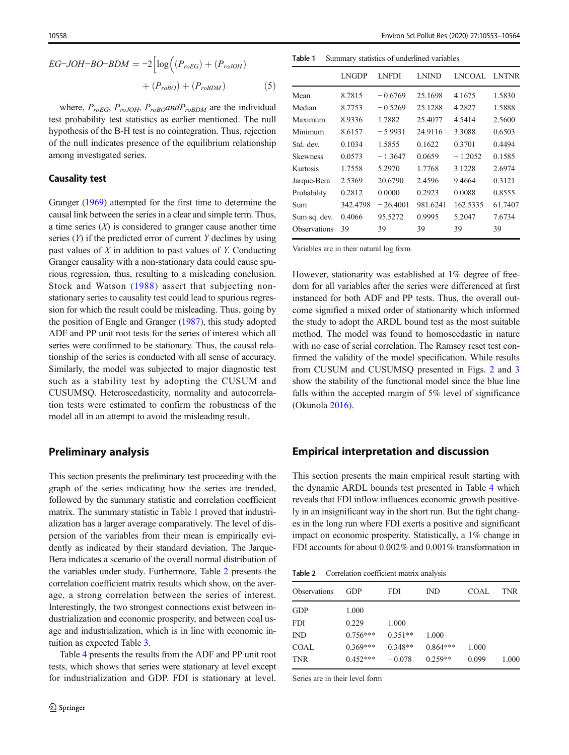EG-JOH-BO-BDM = 
$$
-2 \left[ \log \left( (P_{roEG}) + (P_{roJOH}) + (P_{roBOM}) + (P_{roBOM}) \right) \right]
$$
 (5)

h

where,  $P_{roEG}$ ,  $P_{roJOH}$ ,  $P_{roBO}$  and  $P_{roBDM}$  are the individual test probability test statistics as earlier mentioned. The null hypothesis of the B-H test is no cointegration. Thus, rejection of the null indicates presence of the equilibrium relationship among investigated series.

#### Causality test

Granger [\(1969\)](#page-10-0) attempted for the first time to determine the causal link between the series in a clear and simple term. Thus, a time series  $(X)$  is considered to granger cause another time series  $(Y)$  if the predicted error of current Y declines by using past values of  $X$  in addition to past values of  $Y$ . Conducting Granger causality with a non-stationary data could cause spurious regression, thus, resulting to a misleading conclusion. Stock and Watson ([1988](#page-11-0)) assert that subjecting nonstationary series to causality test could lead to spurious regression for which the result could be misleading. Thus, going by the position of Engle and Granger [\(1987\)](#page-10-0), this study adopted ADF and PP unit root tests for the series of interest which all series were confirmed to be stationary. Thus, the causal relationship of the series is conducted with all sense of accuracy. Similarly, the model was subjected to major diagnostic test such as a stability test by adopting the CUSUM and CUSUMSQ. Heteroscedasticity, normality and autocorrelation tests were estimated to confirm the robustness of the model all in an attempt to avoid the misleading result.

## Preliminary analysis

This section presents the preliminary test proceeding with the graph of the series indicating how the series are trended, followed by the summary statistic and correlation coefficient matrix. The summary statistic in Table 1 proved that industrialization has a larger average comparatively. The level of dispersion of the variables from their mean is empirically evidently as indicated by their standard deviation. The Jarque-Bera indicates a scenario of the overall normal distribution of the variables under study. Furthermore, Table 2 presents the correlation coefficient matrix results which show, on the average, a strong correlation between the series of interest. Interestingly, the two strongest connections exist between industrialization and economic prosperity, and between coal usage and industrialization, which is in line with economic intuition as expected Table [3](#page-6-0).

Table [4](#page-7-0) presents the results from the ADF and PP unit root tests, which shows that series were stationary at level except for industrialization and GDP. FDI is stationary at level.

Table 1 Summary statistics of underlined variables

|                 | LNGDP    | LNFDI      | <b>LNIND</b> | LNCOAL LNTNR |         |
|-----------------|----------|------------|--------------|--------------|---------|
| Mean            | 8.7815   | $-0.6769$  | 25.1698      | 4.1675       | 1.5830  |
| Median          | 8.7753   | $-0.5269$  | 25.1288      | 4.2827       | 1.5888  |
| Maximum         | 8.9336   | 1.7882     | 25.4077      | 4.5414       | 2.5600  |
| Minimum         | 8.6157   | $-5.9931$  | 24.9116      | 3.3088       | 0.6503  |
| Std. dev.       | 0.1034   | 1.5855     | 0.1622       | 0.3701       | 0.4494  |
| <b>Skewness</b> | 0.0573   | $-1.3647$  | 0.0659       | $-1.2052$    | 0.1585  |
| Kurtosis        | 1.7558   | 5.2970     | 1.7768       | 3.1228       | 2.6974  |
| Jarque-Bera     | 2.5369   | 20.6790    | 2.4596       | 9.4664       | 0.3121  |
| Probability     | 0.2812   | 0.0000     | 0.2923       | 0.0088       | 0.8555  |
| Sum             | 342.4798 | $-26,4001$ | 981.6241     | 162.5335     | 61.7407 |
| Sum sq. dev.    | 0.4066   | 95.5272    | 0.9995       | 5.2047       | 7.6734  |
| Observations    | 39       | 39         | 39           | 39           | 39      |
|                 |          |            |              |              |         |

Variables are in their natural log form

However, stationarity was established at 1% degree of freedom for all variables after the series were differenced at first instanced for both ADF and PP tests. Thus, the overall outcome signified a mixed order of stationarity which informed the study to adopt the ARDL bound test as the most suitable method. The model was found to homoscedastic in nature with no case of serial correlation. The Ramsey reset test confirmed the validity of the model specification. While results from CUSUM and CUSUMSQ presented in Figs. [2](#page-7-0) and [3](#page-8-0) show the stability of the functional model since the blue line falls within the accepted margin of 5% level of significance (Okunola [2016](#page-10-0)).

## Empirical interpretation and discussion

This section presents the main empirical result starting with the dynamic ARDL bounds test presented in Table [4](#page-7-0) which reveals that FDI inflow influences economic growth positively in an insignificant way in the short run. But the tight changes in the long run where FDI exerts a positive and significant impact on economic prosperity. Statistically, a 1% change in FDI accounts for about 0.002% and 0.001% transformation in

Table 2 Correlation coefficient matrix analysis

| Observations           | GDP        | <b>FDI</b> | <b>IND</b> | COAL  | TNR   |
|------------------------|------------|------------|------------|-------|-------|
| GDP                    | 1.000      |            |            |       |       |
| FDI                    | 0.229      | 1.000      |            |       |       |
| $\mathbb{N}\mathbb{D}$ | $0.756***$ | $0.351**$  | 1.000      |       |       |
| COAL                   | $0.369***$ | $0.348**$  | $0.864***$ | 1.000 |       |
| TNR                    | $0.452***$ | $-0.078$   | $0.259**$  | 0.099 | 1.000 |
|                        |            |            |            |       |       |

Series are in their level form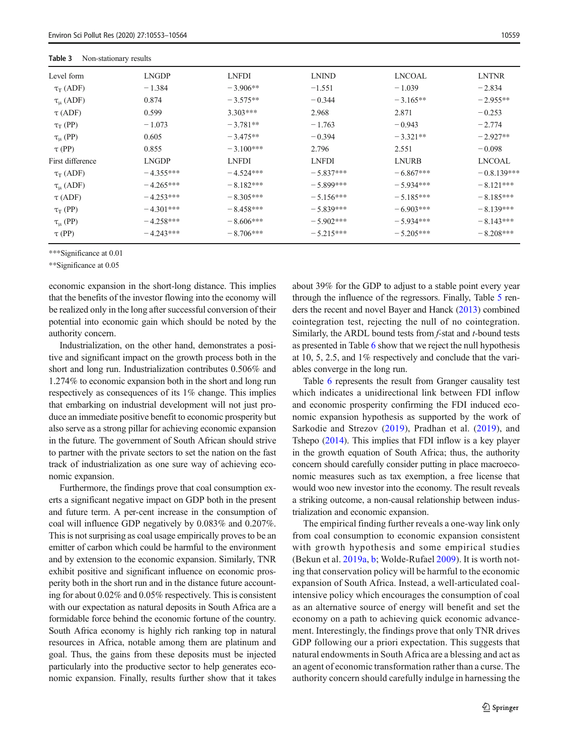<span id="page-6-0"></span>Table 3 Non-stationary results

| Level form         | <b>LNGDP</b> | <b>LNFDI</b> | <b>LNIND</b> | LNCOAL       | <b>LNTNR</b>  |
|--------------------|--------------|--------------|--------------|--------------|---------------|
| $\tau_T(ADF)$      | $-1.384$     | $-3.906**$   | $-1.551$     | $-1.039$     | $-2.834$      |
| $\tau_{\mu}$ (ADF) | 0.874        | $-3.575**$   | $-0.344$     | $-3.165**$   | $-2.955**$    |
| $\tau$ (ADF)       | 0.599        | $3.303***$   | 2.968        | 2.871        | $-0.253$      |
| $\tau_T$ (PP)      | $-1.073$     | $-3.781**$   | $-1.763$     | $-0.943$     | $-2.774$      |
| $\tau_{\mu}$ (PP)  | 0.605        | $-3.475**$   | $-0.394$     | $-3.321**$   | $-2.927**$    |
| $\tau$ (PP)        | 0.855        | $-3.100***$  | 2.796        | 2.551        | $-0.098$      |
| First difference   | <b>LNGDP</b> | <b>LNFDI</b> | <b>LNFDI</b> | <b>LNURB</b> | <b>LNCOAL</b> |
| $\tau_T$ (ADF)     | $-4.355***$  | $-4.524***$  | $-5.837***$  | $-6.867***$  | $-0.8.139***$ |
| $\tau_{\mu}$ (ADF) | $-4.265***$  | $-8.182***$  | $-5.899***$  | $-5.934***$  | $-8.121***$   |
| $\tau$ (ADF)       | $-4.253***$  | $-8.305***$  | $-5.156***$  | $-5.185***$  | $-8.185***$   |
| $\tau_T$ (PP)      | $-4.301***$  | $-8.458***$  | $-5.839***$  | $-6.903***$  | $-8.139***$   |
| $\tau_{\mu}$ (PP)  | $-4.258***$  | $-8.606***$  | $-5.902***$  | $-5.934***$  | $-8.143***$   |
| $\tau$ (PP)        | $-4.243***$  | $-8.706***$  | $-5.215***$  | $-5.205***$  | $-8.208***$   |
|                    |              |              |              |              |               |

\*\*\*Significance at 0.01

\*\*Significance at 0.05

economic expansion in the short-long distance. This implies that the benefits of the investor flowing into the economy will be realized only in the long after successful conversion of their potential into economic gain which should be noted by the authority concern.

Industrialization, on the other hand, demonstrates a positive and significant impact on the growth process both in the short and long run. Industrialization contributes 0.506% and 1.274% to economic expansion both in the short and long run respectively as consequences of its 1% change. This implies that embarking on industrial development will not just produce an immediate positive benefit to economic prosperity but also serve as a strong pillar for achieving economic expansion in the future. The government of South African should strive to partner with the private sectors to set the nation on the fast track of industrialization as one sure way of achieving economic expansion.

Furthermore, the findings prove that coal consumption exerts a significant negative impact on GDP both in the present and future term. A per-cent increase in the consumption of coal will influence GDP negatively by 0.083% and 0.207%. This is not surprising as coal usage empirically proves to be an emitter of carbon which could be harmful to the environment and by extension to the economic expansion. Similarly, TNR exhibit positive and significant influence on economic prosperity both in the short run and in the distance future accounting for about 0.02% and 0.05% respectively. This is consistent with our expectation as natural deposits in South Africa are a formidable force behind the economic fortune of the country. South Africa economy is highly rich ranking top in natural resources in Africa, notable among them are platinum and goal. Thus, the gains from these deposits must be injected particularly into the productive sector to help generates economic expansion. Finally, results further show that it takes about 39% for the GDP to adjust to a stable point every year through the influence of the regressors. Finally, Table [5](#page-8-0) renders the recent and novel Bayer and Hanck [\(2013\)](#page-9-0) combined cointegration test, rejecting the null of no cointegration. Similarly, the ARDL bound tests from *f*-stat and *t*-bound tests as presented in Table [6](#page-9-0) show that we reject the null hypothesis at 10, 5, 2.5, and 1% respectively and conclude that the variables converge in the long run.

Table [6](#page-9-0) represents the result from Granger causality test which indicates a unidirectional link between FDI inflow and economic prosperity confirming the FDI induced economic expansion hypothesis as supported by the work of Sarkodie and Strezov [\(2019\)](#page-10-0), Pradhan et al. [\(2019\)](#page-10-0), and Tshepo [\(2014](#page-11-0)). This implies that FDI inflow is a key player in the growth equation of South Africa; thus, the authority concern should carefully consider putting in place macroeconomic measures such as tax exemption, a free license that would woo new investor into the economy. The result reveals a striking outcome, a non-causal relationship between industrialization and economic expansion.

The empirical finding further reveals a one-way link only from coal consumption to economic expansion consistent with growth hypothesis and some empirical studies (Bekun et al. [2019a](#page-9-0), [b;](#page-9-0) Wolde-Rufael [2009](#page-11-0)). It is worth noting that conservation policy will be harmful to the economic expansion of South Africa. Instead, a well-articulated coalintensive policy which encourages the consumption of coal as an alternative source of energy will benefit and set the economy on a path to achieving quick economic advancement. Interestingly, the findings prove that only TNR drives GDP following our a priori expectation. This suggests that natural endowments in South Africa are a blessing and act as an agent of economic transformation rather than a curse. The authority concern should carefully indulge in harnessing the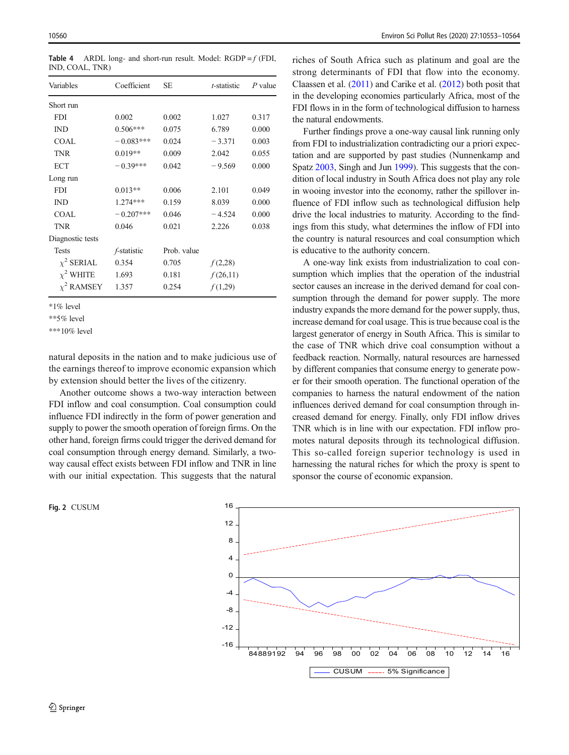| Variables        | Coefficient         | SЕ          | <i>t</i> -statistic | $P$ value |
|------------------|---------------------|-------------|---------------------|-----------|
| Short run        |                     |             |                     |           |
| <b>FDI</b>       | 0.002               | 0.002       | 1.027               | 0.317     |
| IND              | $0.506***$          | 0.075       | 6.789               | 0.000     |
| <b>COAL</b>      | $-0.083***$         | 0.024       | $-3.371$            | 0.003     |
| TNR              | $0.019**$           | 0.009       | 2.042               | 0.055     |
| <b>ECT</b>       | $-0.39***$          | 0.042       | $-9.569$            | 0.000     |
| Long run         |                     |             |                     |           |
| <b>FDI</b>       | $0.013**$           | 0.006       | 2.101               | 0.049     |
| <b>IND</b>       | $1.274***$          | 0.159       | 8.039               | 0.000     |
| <b>COAL</b>      | $-0.207***$         | 0.046       | $-4.524$            | 0.000     |
| <b>TNR</b>       | 0.046               | 0.021       | 2.226               | 0.038     |
| Diagnostic tests |                     |             |                     |           |
| <b>Tests</b>     | <i>f</i> -statistic | Prob. value |                     |           |
| $\chi^2$ SERIAL  | 0.354               | 0.705       | f(2,28)             |           |
| $\chi^2$ WHITE   | 1.693               | 0.181       | f(26,11)            |           |
| $\chi^2$ RAMSEY  | 1.357               | 0.254       | f(1,29)             |           |

<span id="page-7-0"></span>Table 4 ARDL long- and short-run result. Model:  $RGDP = f (FDI,$ IND, COAL, TNR)

\*1% level

\*\*5% level

\*\*\*10% level

natural deposits in the nation and to make judicious use of the earnings thereof to improve economic expansion which by extension should better the lives of the citizenry.

Another outcome shows a two-way interaction between FDI inflow and coal consumption. Coal consumption could influence FDI indirectly in the form of power generation and supply to power the smooth operation of foreign firms. On the other hand, foreign firms could trigger the derived demand for coal consumption through energy demand. Similarly, a twoway causal effect exists between FDI inflow and TNR in line with our initial expectation. This suggests that the natural

Fig. 2 CUSUM

riches of South Africa such as platinum and goal are the strong determinants of FDI that flow into the economy. Claassen et al. [\(2011](#page-10-0)) and Carike et al. ([2012](#page-10-0)) both posit that in the developing economies particularly Africa, most of the FDI flows in in the form of technological diffusion to harness the natural endowments.

Further findings prove a one-way causal link running only from FDI to industrialization contradicting our a priori expectation and are supported by past studies (Nunnenkamp and Spatz [2003,](#page-10-0) Singh and Jun [1999](#page-10-0)). This suggests that the condition of local industry in South Africa does not play any role in wooing investor into the economy, rather the spillover influence of FDI inflow such as technological diffusion help drive the local industries to maturity. According to the findings from this study, what determines the inflow of FDI into the country is natural resources and coal consumption which is educative to the authority concern.

A one-way link exists from industrialization to coal consumption which implies that the operation of the industrial sector causes an increase in the derived demand for coal consumption through the demand for power supply. The more industry expands the more demand for the power supply, thus, increase demand for coal usage. This is true because coal is the largest generator of energy in South Africa. This is similar to the case of TNR which drive coal consumption without a feedback reaction. Normally, natural resources are harnessed by different companies that consume energy to generate power for their smooth operation. The functional operation of the companies to harness the natural endowment of the nation influences derived demand for coal consumption through increased demand for energy. Finally, only FDI inflow drives TNR which is in line with our expectation. FDI inflow promotes natural deposits through its technological diffusion. This so-called foreign superior technology is used in harnessing the natural riches for which the proxy is spent to sponsor the course of economic expansion.

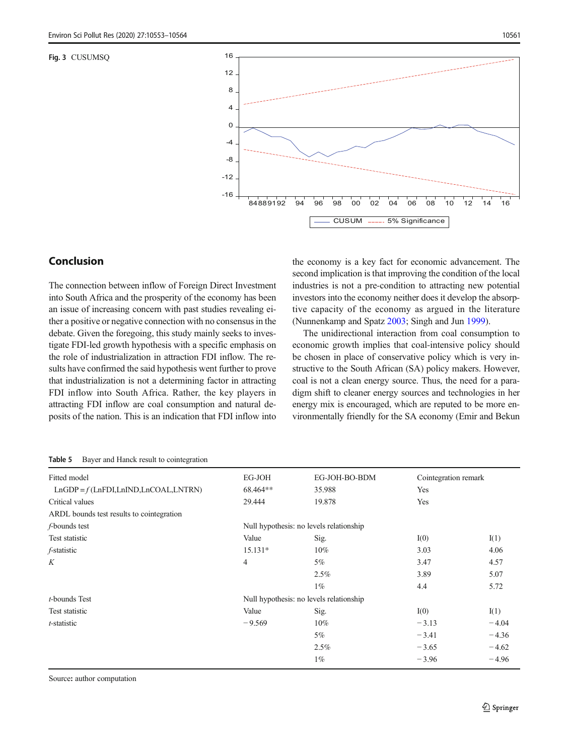<span id="page-8-0"></span>Fig. 3 CUSUMSQ



# Conclusion

The connection between inflow of Foreign Direct Investment into South Africa and the prosperity of the economy has been an issue of increasing concern with past studies revealing either a positive or negative connection with no consensus in the debate. Given the foregoing, this study mainly seeks to investigate FDI-led growth hypothesis with a specific emphasis on the role of industrialization in attraction FDI inflow. The results have confirmed the said hypothesis went further to prove that industrialization is not a determining factor in attracting FDI inflow into South Africa. Rather, the key players in attracting FDI inflow are coal consumption and natural deposits of the nation. This is an indication that FDI inflow into the economy is a key fact for economic advancement. The second implication is that improving the condition of the local industries is not a pre-condition to attracting new potential investors into the economy neither does it develop the absorptive capacity of the economy as argued in the literature (Nunnenkamp and Spatz [2003;](#page-10-0) Singh and Jun [1999](#page-10-0)).

The unidirectional interaction from coal consumption to economic growth implies that coal-intensive policy should be chosen in place of conservative policy which is very instructive to the South African (SA) policy makers. However, coal is not a clean energy source. Thus, the need for a paradigm shift to cleaner energy sources and technologies in her energy mix is encouraged, which are reputed to be more environmentally friendly for the SA economy (Emir and Bekun

Table 5 Bayer and Hanck result to cointegration

| Fitted model                              | EG-JOH         | EG-JOH-BO-BDM                           | Cointegration remark |         |
|-------------------------------------------|----------------|-----------------------------------------|----------------------|---------|
| $LnGDP = f(LnFDI, LnIND, LnCOAL, LNTRN)$  | 68.464**       | 35.988                                  | Yes                  |         |
| Critical values                           | 29.444         | 19.878                                  | Yes                  |         |
| ARDL bounds test results to cointegration |                |                                         |                      |         |
| <i>f</i> -bounds test                     |                | Null hypothesis: no levels relationship |                      |         |
| Test statistic                            | Value          | Sig.                                    | I(0)                 | I(1)    |
| f-statistic                               | 15.131*        | $10\%$                                  | 3.03                 | 4.06    |
| K                                         | $\overline{4}$ | 5%                                      | 3.47                 | 4.57    |
|                                           |                | 2.5%                                    | 3.89                 | 5.07    |
|                                           |                | $1\%$                                   | 4.4                  | 5.72    |
| $t$ -bounds Test                          |                | Null hypothesis: no levels relationship |                      |         |
| Test statistic                            | Value          | Sig.                                    | I(0)                 | I(1)    |
| t-statistic                               | $-9.569$       | $10\%$                                  | $-3.13$              | $-4.04$ |
|                                           |                | 5%                                      | $-3.41$              | $-4.36$ |
|                                           |                | 2.5%                                    | $-3.65$              | $-4.62$ |
|                                           |                | $1\%$                                   | $-3.96$              | $-4.96$ |
|                                           |                |                                         |                      |         |

Source: author computation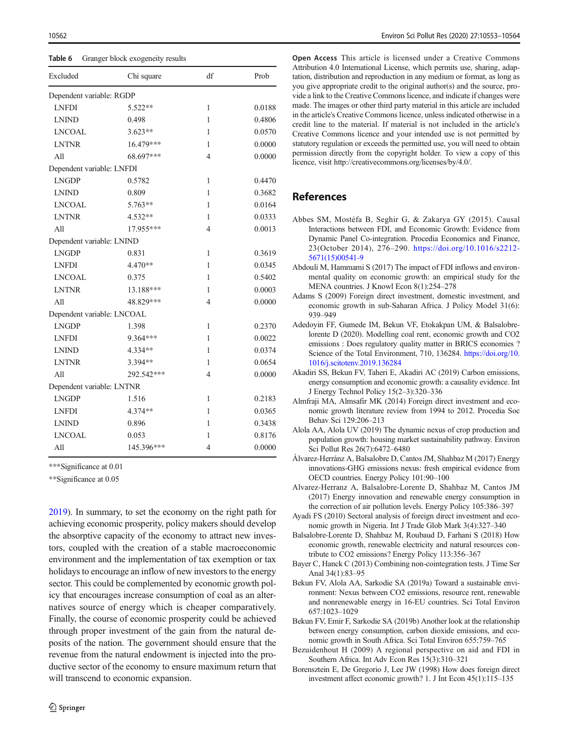<span id="page-9-0"></span>Table 6 Granger block exogeneity results

| Excluded                   | Chi square | df                       | Prob   |
|----------------------------|------------|--------------------------|--------|
| Dependent variable: RGDP   |            |                          |        |
| <b>LNFDI</b>               | 5.522**    | $\mathbf{1}$             | 0.0188 |
| <b>LNIND</b>               | 0.498      | 1                        | 0.4806 |
| <b>LNCOAL</b>              | $3.623**$  | 1                        | 0.0570 |
| <b>LNTNR</b>               | 16.479***  | 1                        | 0.0000 |
| All                        | 68.697***  | 4                        | 0.0000 |
| Dependent variable: LNFDI  |            |                          |        |
| <b>LNGDP</b>               | 0.5782     | 1                        | 0.4470 |
| <b>LNIND</b>               | 0.809      | 1                        | 0.3682 |
| <b>LNCOAL</b>              | 5.763**    | 1                        | 0.0164 |
| <b>LNTNR</b>               | $4.532**$  | 1                        | 0.0333 |
| A11                        | 17.955***  | $\overline{\mathcal{L}}$ | 0.0013 |
| Dependent variable: LNIND  |            |                          |        |
| <b>LNGDP</b>               | 0.831      | 1                        | 0.3619 |
| <b>LNFDI</b>               | 4.470**    | 1                        | 0.0345 |
| <b>LNCOAL</b>              | 0.375      | 1                        | 0.5402 |
| <b>LNTNR</b>               | 13.188***  | 1                        | 0.0003 |
| All                        | 48.829***  | $\overline{4}$           | 0.0000 |
| Dependent variable: LNCOAL |            |                          |        |
| <b>LNGDP</b>               | 1.398      | 1                        | 0.2370 |
| <b>LNFDI</b>               | 9.364***   | 1                        | 0.0022 |
| <b>LNIND</b>               | 4.334**    | 1                        | 0.0374 |
| <b>LNTNR</b>               | 3.394 **   | 1                        | 0.0654 |
| All                        | 292.542*** | $\overline{4}$           | 0.0000 |
| Dependent variable: LNTNR  |            |                          |        |
| <b>LNGDP</b>               | 1.516      | 1                        | 0.2183 |
| <b>LNFDI</b>               | 4.374**    | 1                        | 0.0365 |
| <b>LNIND</b>               | 0.896      | 1                        | 0.3438 |
| <b>LNCOAL</b>              | 0.053      | 1                        | 0.8176 |
| All                        | 145.396*** | $\overline{4}$           | 0.0000 |

\*\*\*Significance at 0.01

\*\*Significance at 0.05

[2019\)](#page-10-0). In summary, to set the economy on the right path for achieving economic prosperity, policy makers should develop the absorptive capacity of the economy to attract new investors, coupled with the creation of a stable macroeconomic environment and the implementation of tax exemption or tax holidays to encourage an inflow of new investors to the energy sector. This could be complemented by economic growth policy that encourages increase consumption of coal as an alternatives source of energy which is cheaper comparatively. Finally, the course of economic prosperity could be achieved through proper investment of the gain from the natural deposits of the nation. The government should ensure that the revenue from the natural endowment is injected into the productive sector of the economy to ensure maximum return that will transcend to economic expansion.

Open Access This article is licensed under a Creative Commons Attribution 4.0 International License, which permits use, sharing, adaptation, distribution and reproduction in any medium or format, as long as you give appropriate credit to the original author(s) and the source, provide a link to the Creative Commons licence, and indicate if changes were made. The images or other third party material in this article are included in the article's Creative Commons licence, unless indicated otherwise in a credit line to the material. If material is not included in the article's Creative Commons licence and your intended use is not permitted by statutory regulation or exceeds the permitted use, you will need to obtain permission directly from the copyright holder. To view a copy of this licence, visit http://creativecommons.org/licenses/by/4.0/.

# References

- Abbes SM, Mostéfa B, Seghir G, & Zakarya GY (2015). Causal Interactions between FDI, and Economic Growth: Evidence from Dynamic Panel Co-integration. Procedia Economics and Finance, 23(October 2014), 276–290. [https://doi.org/10.1016/s2212-](https://doi.org/10.1016/s2212-5671(15)00541-9) [5671\(15\)00541-9](https://doi.org/10.1016/s2212-5671(15)00541-9)
- Abdouli M, Hammami S (2017) The impact of FDI inflows and environmental quality on economic growth: an empirical study for the MENA countries. J Knowl Econ 8(1):254–278
- Adams S (2009) Foreign direct investment, domestic investment, and economic growth in sub-Saharan Africa. J Policy Model 31(6): 939–949
- Adedoyin FF, Gumede IM, Bekun VF, Etokakpan UM, & Balsalobrelorente D (2020). Modelling coal rent, economic growth and CO2 emissions : Does regulatory quality matter in BRICS economies ? Science of the Total Environment, 710, 136284. [https://doi.org/10.](https://doi.org/10.1016/j.scitotenv.2019.136284) [1016/j.scitotenv.2019.136284](https://doi.org/10.1016/j.scitotenv.2019.136284)
- Akadiri SS, Bekun FV, Taheri E, Akadiri AC (2019) Carbon emissions, energy consumption and economic growth: a causality evidence. Int J Energy Technol Policy 15(2–3):320–336
- Almfraji MA, Almsafir MK (2014) Foreign direct investment and economic growth literature review from 1994 to 2012. Procedia Soc Behav Sci 129:206–213
- Alola AA, Alola UV (2019) The dynamic nexus of crop production and population growth: housing market sustainability pathway. Environ Sci Pollut Res 26(7):6472–6480
- Álvarez-Herránz A, Balsalobre D, Cantos JM, Shahbaz M (2017) Energy innovations-GHG emissions nexus: fresh empirical evidence from OECD countries. Energy Policy 101:90–100
- Alvarez-Herranz A, Balsalobre-Lorente D, Shahbaz M, Cantos JM (2017) Energy innovation and renewable energy consumption in the correction of air pollution levels. Energy Policy 105:386–397
- Ayadi FS (2010) Sectoral analysis of foreign direct investment and economic growth in Nigeria. Int J Trade Glob Mark 3(4):327–340
- Balsalobre-Lorente D, Shahbaz M, Roubaud D, Farhani S (2018) How economic growth, renewable electricity and natural resources contribute to CO2 emissions? Energy Policy 113:356–367
- Bayer C, Hanck C (2013) Combining non-cointegration tests. J Time Ser Anal 34(1):83–95
- Bekun FV, Alola AA, Sarkodie SA (2019a) Toward a sustainable environment: Nexus between CO2 emissions, resource rent, renewable and nonrenewable energy in 16-EU countries. Sci Total Environ 657:1023–1029
- Bekun FV, Emir F, Sarkodie SA (2019b) Another look at the relationship between energy consumption, carbon dioxide emissions, and economic growth in South Africa. Sci Total Environ 655:759–765
- Bezuidenhout H (2009) A regional perspective on aid and FDI in Southern Africa. Int Adv Econ Res 15(3):310–321
- Borensztein E, De Gregorio J, Lee JW (1998) How does foreign direct investment affect economic growth? 1. J Int Econ 45(1):115–135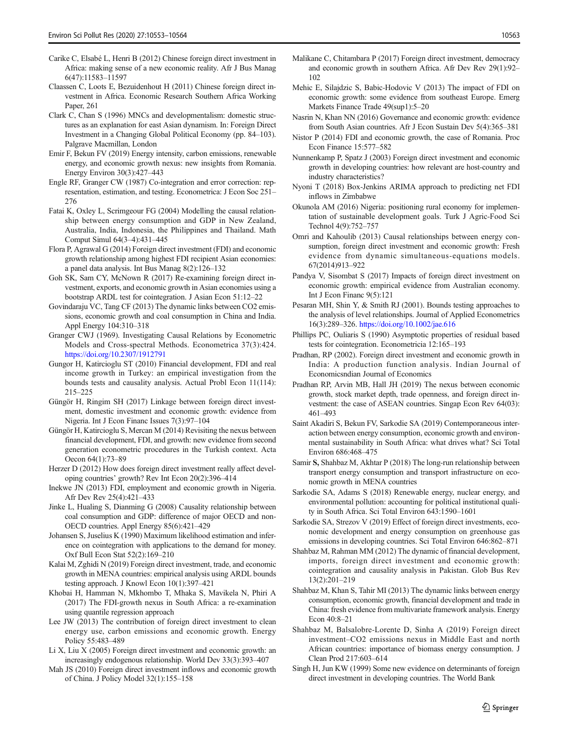- <span id="page-10-0"></span>Carike C, Elsabé L, Henri B (2012) Chinese foreign direct investment in Africa: making sense of a new economic reality. Afr J Bus Manag 6(47):11583–11597
- Claassen C, Loots E, Bezuidenhout H (2011) Chinese foreign direct investment in Africa. Economic Research Southern Africa Working Paper, 261
- Clark C, Chan S (1996) MNCs and developmentalism: domestic structures as an explanation for east Asian dynamism. In: Foreign Direct Investment in a Changing Global Political Economy (pp. 84–103). Palgrave Macmillan, London
- Emir F, Bekun FV (2019) Energy intensity, carbon emissions, renewable energy, and economic growth nexus: new insights from Romania. Energy Environ 30(3):427–443
- Engle RF, Granger CW (1987) Co-integration and error correction: representation, estimation, and testing. Econometrica: J Econ Soc 251– 276
- Fatai K, Oxley L, Scrimgeour FG (2004) Modelling the causal relationship between energy consumption and GDP in New Zealand, Australia, India, Indonesia, the Philippines and Thailand. Math Comput Simul 64(3–4):431–445
- Flora P, Agrawal G (2014) Foreign direct investment (FDI) and economic growth relationship among highest FDI recipient Asian economies: a panel data analysis. Int Bus Manag 8(2):126–132
- Goh SK, Sam CY, McNown R (2017) Re-examining foreign direct investment, exports, and economic growth in Asian economies using a bootstrap ARDL test for cointegration. J Asian Econ 51:12–22
- Govindaraju VC, Tang CF (2013) The dynamic links between CO2 emissions, economic growth and coal consumption in China and India. Appl Energy 104:310–318
- Granger CWJ (1969). Investigating Causal Relations by Econometric Models and Cross-spectral Methods. Econometrica 37(3):424. [https://doi.org/10.2307/1912791](https://doi.org/10.1016/j.scitotenv.2019.136284)
- Gungor H, Katircioglu ST (2010) Financial development, FDI and real income growth in Turkey: an empirical investigation from the bounds tests and causality analysis. Actual Probl Econ 11(114): 215–225
- Güngör H, Ringim SH (2017) Linkage between foreign direct investment, domestic investment and economic growth: evidence from Nigeria. Int J Econ Financ Issues 7(3):97–104
- Güngör H, Katircioglu S, Mercan M (2014) Revisiting the nexus between financial development, FDI, and growth: new evidence from second generation econometric procedures in the Turkish context. Acta Oecon 64(1):73–89
- Herzer D (2012) How does foreign direct investment really affect developing countries' growth? Rev Int Econ 20(2):396–414
- Inekwe JN (2013) FDI, employment and economic growth in Nigeria. Afr Dev Rev 25(4):421–433
- Jinke L, Hualing S, Dianming G (2008) Causality relationship between coal consumption and GDP: difference of major OECD and non-OECD countries. Appl Energy 85(6):421–429
- Johansen S, Juselius K (1990) Maximum likelihood estimation and inference on cointegration with applications to the demand for money. Oxf Bull Econ Stat 52(2):169–210
- Kalai M, Zghidi N (2019) Foreign direct investment, trade, and economic growth in MENA countries: empirical analysis using ARDL bounds testing approach. J Knowl Econ 10(1):397–421
- Khobai H, Hamman N, Mkhombo T, Mhaka S, Mavikela N, Phiri A (2017) The FDI-growth nexus in South Africa: a re-examination using quantile regression approach
- Lee JW (2013) The contribution of foreign direct investment to clean energy use, carbon emissions and economic growth. Energy Policy 55:483–489
- Li X, Liu X (2005) Foreign direct investment and economic growth: an increasingly endogenous relationship. World Dev 33(3):393–407
- Mah JS (2010) Foreign direct investment inflows and economic growth of China. J Policy Model 32(1):155–158
- Malikane C, Chitambara P (2017) Foreign direct investment, democracy and economic growth in southern Africa. Afr Dev Rev 29(1):92– 102
- Mehic E, Silajdzic S, Babic-Hodovic V (2013) The impact of FDI on economic growth: some evidence from southeast Europe. Emerg Markets Finance Trade 49(sup1):5–20
- Nasrin N, Khan NN (2016) Governance and economic growth: evidence from South Asian countries. Afr J Econ Sustain Dev 5(4):365–381
- Nistor P (2014) FDI and economic growth, the case of Romania. Proc Econ Finance 15:577–582
- Nunnenkamp P, Spatz J (2003) Foreign direct investment and economic growth in developing countries: how relevant are host-country and industry characteristics?
- Nyoni T (2018) Box-Jenkins ARIMA approach to predicting net FDI inflows in Zimbabwe
- Okunola AM (2016) Nigeria: positioning rural economy for implementation of sustainable development goals. Turk J Agric-Food Sci Technol 4(9):752–757
- Omri and Kahoulib (2013) Causal relationships between energy consumption, foreign direct investment and economic growth: Fresh evidence from dynamic simultaneous-equations models. 67(2014)913–922
- Pandya V, Sisombat S (2017) Impacts of foreign direct investment on economic growth: empirical evidence from Australian economy. Int J Econ Financ 9(5):121
- Pesaran MH, Shin Y, & Smith RJ (2001). Bounds testing approaches to the analysis of level relationships. Journal of Applied Econometrics 16(3):289–326. [https://doi.org/10.1002/jae.616](https://doi.org/10.1016/j.scitotenv.2019.136284)
- Phillips PC, Ouliaris S (1990) Asymptotic properties of residual based tests for cointegration. Econometricia 12:165–193
- Pradhan, RP (2002). Foreign direct investment and economic growth in India: A production function analysis. Indian Journal of Economicsndian Journal of Economics
- Pradhan RP, Arvin MB, Hall JH (2019) The nexus between economic growth, stock market depth, trade openness, and foreign direct investment: the case of ASEAN countries. Singap Econ Rev 64(03): 461–493
- Saint Akadiri S, Bekun FV, Sarkodie SA (2019) Contemporaneous interaction between energy consumption, economic growth and environmental sustainability in South Africa: what drives what? Sci Total Environ 686:468–475
- Samir S, Shahbaz M, Akhtar P (2018) The long-run relationship between transport energy consumption and transport infrastructure on economic growth in MENA countries
- Sarkodie SA, Adams S (2018) Renewable energy, nuclear energy, and environmental pollution: accounting for political institutional quality in South Africa. Sci Total Environ 643:1590–1601
- Sarkodie SA, Strezov V (2019) Effect of foreign direct investments, economic development and energy consumption on greenhouse gas emissions in developing countries. Sci Total Environ 646:862–871
- Shahbaz M, Rahman MM (2012) The dynamic of financial development, imports, foreign direct investment and economic growth: cointegration and causality analysis in Pakistan. Glob Bus Rev 13(2):201–219
- Shahbaz M, Khan S, Tahir MI (2013) The dynamic links between energy consumption, economic growth, financial development and trade in China: fresh evidence from multivariate framework analysis. Energy Econ 40:8–21
- Shahbaz M, Balsalobre-Lorente D, Sinha A (2019) Foreign direct investment–CO2 emissions nexus in Middle East and north African countries: importance of biomass energy consumption. J Clean Prod 217:603–614
- Singh H, Jun KW (1999) Some new evidence on determinants of foreign direct investment in developing countries. The World Bank